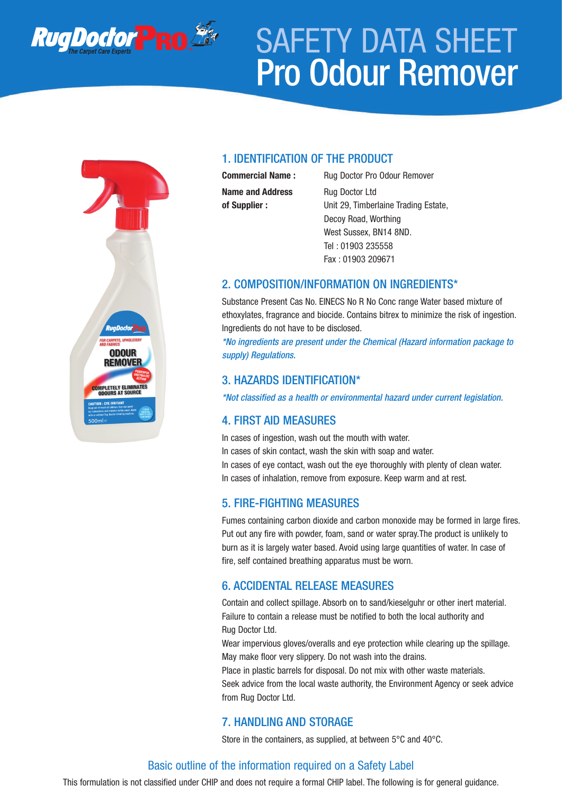

# SAFETY DATA SHEET Pro Odour Remover

# **ODOUR REMOVER** PLETELY ELIMINAT

### 1. IDENTIFICATION OF THE PRODUCT

**Name and Address** Rug Doctor Ltd

**Commercial Name :** Rug Doctor Pro Odour Remover **of Supplier :** Unit 29, Timberlaine Trading Estate, Decoy Road, Worthing West Sussex, BN14 8ND. Tel : 01903 235558 Fax : 01903 209671

#### 2. COMPOSITION/INFORMATION ON INGREDIENTS\*

Substance Present Cas No. EINECS No R No Conc range Water based mixture of ethoxylates, fragrance and biocide. Contains bitrex to minimize the risk of ingestion. Ingredients do not have to be disclosed.

*\*No ingredients are present under the Chemical (Hazard information package to supply) Regulations.*

#### 3. HAZARDS IDENTIFICATION\*

*\*Not classified as a health or environmental hazard under current legislation.*

### 4. FIRST AID MEASURES

In cases of ingestion, wash out the mouth with water.

In cases of skin contact, wash the skin with soap and water.

In cases of eye contact, wash out the eye thoroughly with plenty of clean water. In cases of inhalation, remove from exposure. Keep warm and at rest.

### 5. FIRE-FIGHTING MEASURES

Fumes containing carbon dioxide and carbon monoxide may be formed in large fires. Put out any fire with powder, foam, sand or water spray.The product is unlikely to burn as it is largely water based. Avoid using large quantities of water. In case of fire, self contained breathing apparatus must be worn.

### 6. ACCIDENTAL RELEASE MEASURES

Contain and collect spillage. Absorb on to sand/kieselguhr or other inert material. Failure to contain a release must be notified to both the local authority and Rug Doctor Ltd.

Wear impervious gloves/overalls and eye protection while clearing up the spillage. May make floor very slippery. Do not wash into the drains.

Place in plastic barrels for disposal. Do not mix with other waste materials.

Seek advice from the local waste authority, the Environment Agency or seek advice from Rug Doctor Ltd.

### 7. HANDLING AND STORAGE

Store in the containers, as supplied, at between 5°C and 40°C.

### Basic outline of the information required on a Safety Label

This formulation is not classified under CHIP and does not require a formal CHIP label. The following is for general guidance.